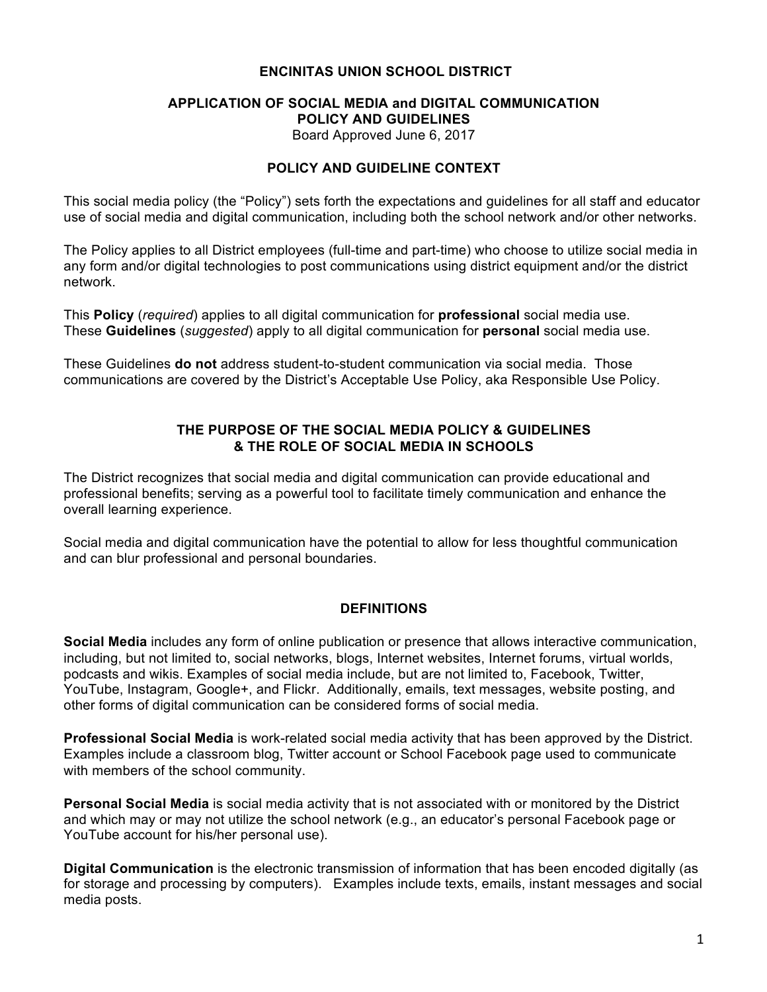### **ENCINITAS UNION SCHOOL DISTRICT**

#### **APPLICATION OF SOCIAL MEDIA and DIGITAL COMMUNICATION POLICY AND GUIDELINES** Board Approved June 6, 2017

#### **POLICY AND GUIDELINE CONTEXT**

This social media policy (the "Policy") sets forth the expectations and guidelines for all staff and educator use of social media and digital communication, including both the school network and/or other networks.

The Policy applies to all District employees (full-time and part-time) who choose to utilize social media in any form and/or digital technologies to post communications using district equipment and/or the district network.

This **Policy** (*required*) applies to all digital communication for **professional** social media use. These **Guidelines** (*suggested*) apply to all digital communication for **personal** social media use.

These Guidelines **do not** address student-to-student communication via social media. Those communications are covered by the District's Acceptable Use Policy, aka Responsible Use Policy.

### **THE PURPOSE OF THE SOCIAL MEDIA POLICY & GUIDELINES & THE ROLE OF SOCIAL MEDIA IN SCHOOLS**

The District recognizes that social media and digital communication can provide educational and professional benefits; serving as a powerful tool to facilitate timely communication and enhance the overall learning experience.

Social media and digital communication have the potential to allow for less thoughtful communication and can blur professional and personal boundaries.

#### **DEFINITIONS**

**Social Media** includes any form of online publication or presence that allows interactive communication, including, but not limited to, social networks, blogs, Internet websites, Internet forums, virtual worlds, podcasts and wikis. Examples of social media include, but are not limited to, Facebook, Twitter, YouTube, Instagram, Google+, and Flickr. Additionally, emails, text messages, website posting, and other forms of digital communication can be considered forms of social media.

**Professional Social Media** is work-related social media activity that has been approved by the District. Examples include a classroom blog, Twitter account or School Facebook page used to communicate with members of the school community.

**Personal Social Media** is social media activity that is not associated with or monitored by the District and which may or may not utilize the school network (e.g., an educator's personal Facebook page or YouTube account for his/her personal use).

**Digital Communication** is the electronic transmission of information that has been encoded digitally (as for storage and processing by computers). Examples include texts, emails, instant messages and social media posts.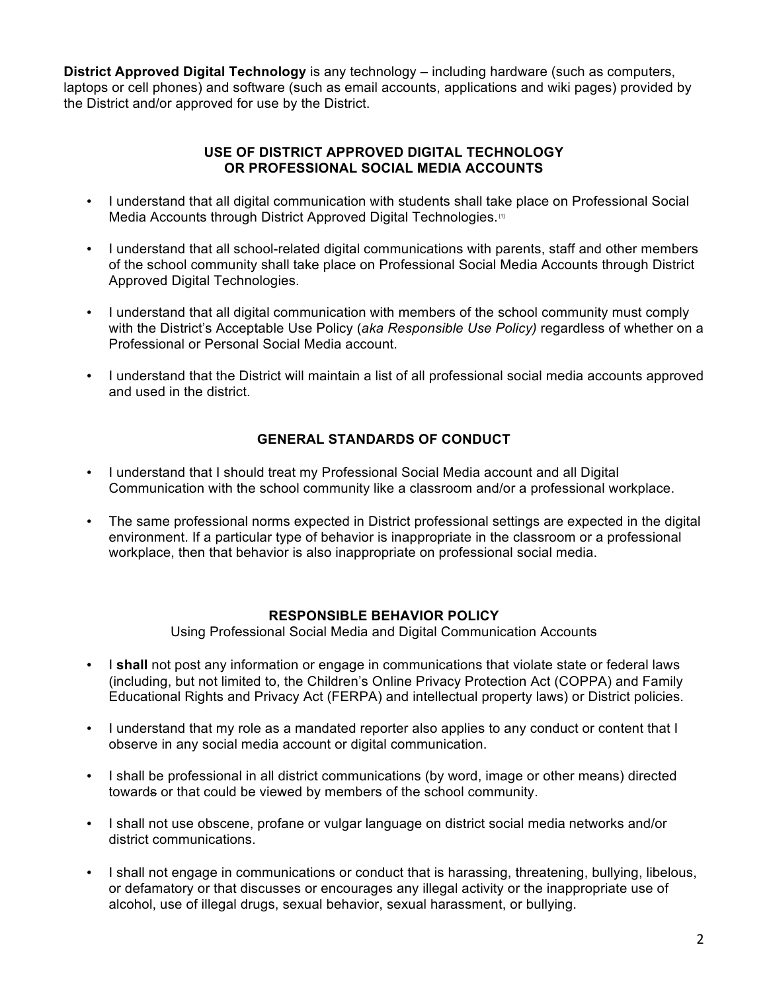**District Approved Digital Technology** is any technology – including hardware (such as computers, laptops or cell phones) and software (such as email accounts, applications and wiki pages) provided by the District and/or approved for use by the District.

## **USE OF DISTRICT APPROVED DIGITAL TECHNOLOGY OR PROFESSIONAL SOCIAL MEDIA ACCOUNTS**

- I understand that all digital communication with students shall take place on Professional Social Media Accounts through District Approved Digital Technologies.<sup>[1]</sup>
- I understand that all school-related digital communications with parents, staff and other members of the school community shall take place on Professional Social Media Accounts through District Approved Digital Technologies.
- I understand that all digital communication with members of the school community must comply with the District's Acceptable Use Policy (*aka Responsible Use Policy)* regardless of whether on a Professional or Personal Social Media account.
- I understand that the District will maintain a list of all professional social media accounts approved and used in the district.

# **GENERAL STANDARDS OF CONDUCT**

- I understand that I should treat my Professional Social Media account and all Digital Communication with the school community like a classroom and/or a professional workplace.
- The same professional norms expected in District professional settings are expected in the digital environment. If a particular type of behavior is inappropriate in the classroom or a professional workplace, then that behavior is also inappropriate on professional social media.

### **RESPONSIBLE BEHAVIOR POLICY**

Using Professional Social Media and Digital Communication Accounts

- I **shall** not post any information or engage in communications that violate state or federal laws (including, but not limited to, the Children's Online Privacy Protection Act (COPPA) and Family Educational Rights and Privacy Act (FERPA) and intellectual property laws) or District policies.
- I understand that my role as a mandated reporter also applies to any conduct or content that I observe in any social media account or digital communication.
- I shall be professional in all district communications (by word, image or other means) directed towards or that could be viewed by members of the school community.
- I shall not use obscene, profane or vulgar language on district social media networks and/or district communications.
- I shall not engage in communications or conduct that is harassing, threatening, bullying, libelous, or defamatory or that discusses or encourages any illegal activity or the inappropriate use of alcohol, use of illegal drugs, sexual behavior, sexual harassment, or bullying.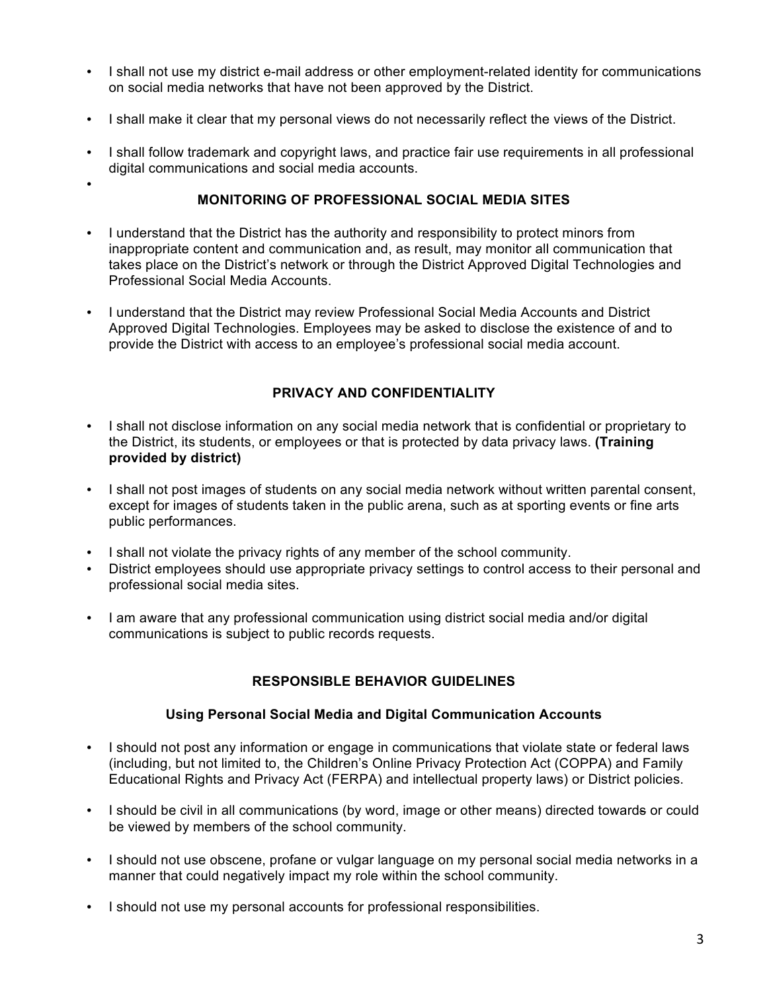- I shall not use my district e-mail address or other employment-related identity for communications on social media networks that have not been approved by the District.
- I shall make it clear that my personal views do not necessarily reflect the views of the District.
- I shall follow trademark and copyright laws, and practice fair use requirements in all professional digital communications and social media accounts.

# •

### **MONITORING OF PROFESSIONAL SOCIAL MEDIA SITES**

- I understand that the District has the authority and responsibility to protect minors from inappropriate content and communication and, as result, may monitor all communication that takes place on the District's network or through the District Approved Digital Technologies and Professional Social Media Accounts.
- I understand that the District may review Professional Social Media Accounts and District Approved Digital Technologies. Employees may be asked to disclose the existence of and to provide the District with access to an employee's professional social media account.

# **PRIVACY AND CONFIDENTIALITY**

- I shall not disclose information on any social media network that is confidential or proprietary to the District, its students, or employees or that is protected by data privacy laws. **(Training provided by district)**
- I shall not post images of students on any social media network without written parental consent, except for images of students taken in the public arena, such as at sporting events or fine arts public performances.
- I shall not violate the privacy rights of any member of the school community.
- District employees should use appropriate privacy settings to control access to their personal and professional social media sites.
- I am aware that any professional communication using district social media and/or digital communications is subject to public records requests.

# **RESPONSIBLE BEHAVIOR GUIDELINES**

# **Using Personal Social Media and Digital Communication Accounts**

- I should not post any information or engage in communications that violate state or federal laws (including, but not limited to, the Children's Online Privacy Protection Act (COPPA) and Family Educational Rights and Privacy Act (FERPA) and intellectual property laws) or District policies.
- I should be civil in all communications (by word, image or other means) directed towards or could be viewed by members of the school community.
- I should not use obscene, profane or vulgar language on my personal social media networks in a manner that could negatively impact my role within the school community.
- I should not use my personal accounts for professional responsibilities.